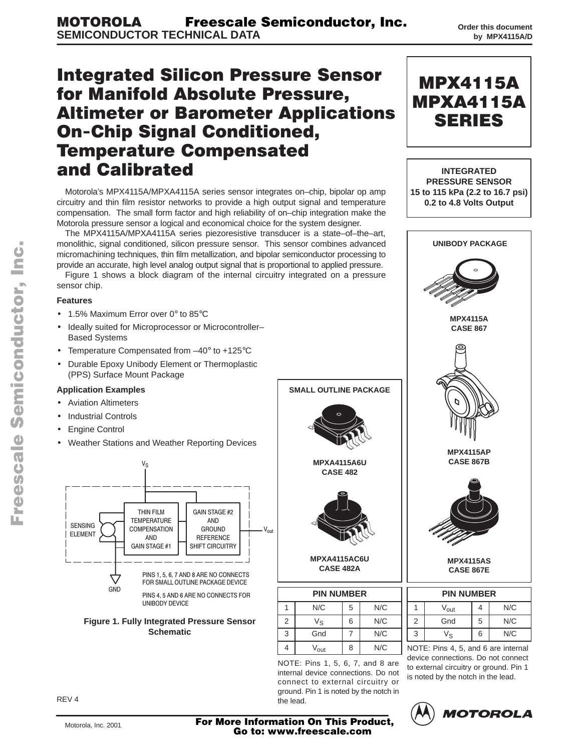# **Integrated Silicon Pressure Sensor** for Manifold Absolute Pressure, **Altimeter or Barometer Applications On-Chip Signal Conditioned, Temperature Compensated** and Calibrated

Motorola's MPX4115A/MPXA4115A series sensor integrates on–chip, bipolar op amp circuitry and thin film resistor networks to provide a high output signal and temperature compensation. The small form factor and high reliability of on–chip integration make the Motorola pressure sensor a logical and economical choice for the system designer.

The MPX4115A/MPXA4115A series piezoresistive transducer is a state–of–the–art, monolithic, signal conditioned, silicon pressure sensor. This sensor combines advanced micromachining techniques, thin film metallization, and bipolar semiconductor processing to provide an accurate, high level analog output signal that is proportional to applied pressure.

Figure 1 shows a block diagram of the internal circuitry integrated on a pressure sensor chip.

#### **Features**

- 1.5% Maximum Error over 0° to 85°C
- Ideally suited for Microprocessor or Microcontroller– Based Systems
- Temperature Compensated from –40° to +125°C
- Durable Epoxy Unibody Element or Thermoplastic (PPS) Surface Mount Package

#### **Application Examples**

- Aviation Altimeters
- Industrial Controls
- **Engine Control**
- Weather Stations and Weather Reporting Devices



UNIBODY DEVICE



| MPXA4115AC6U<br><b>CASE 482A</b> |   |  |
|----------------------------------|---|--|
| <b>PIN NUMBER</b>                |   |  |
| N/C                              | 5 |  |

**MPXA4115A6U CASE 482**

**SMALL OUTLINE PACKAGE**

|   | N/C              | 5 | N/C |
|---|------------------|---|-----|
| 2 | Vs               | 6 | N/C |
| 3 | Gnd              |   | N/C |
| 4 | V <sub>out</sub> | 8 | N/C |

NOTE: Pins 1, 5, 6, 7, and 8 are internal device connections. Do not connect to external circuitry or ground. Pin 1 is noted by the notch in the lead.



|   | <b>PIN NUMBER</b> |   |     |  |  |  |
|---|-------------------|---|-----|--|--|--|
|   | $V_{\rm out}$     |   | N/C |  |  |  |
| 2 | Gnd               | 5 | N/C |  |  |  |
| 3 | V۹                | 6 | N/C |  |  |  |

NOTE: Pins 4, 5, and 6 are internal device connections. Do not connect to external circuitry or ground. Pin 1 is noted by the notch in the lead.



Motorola, Inc. 2001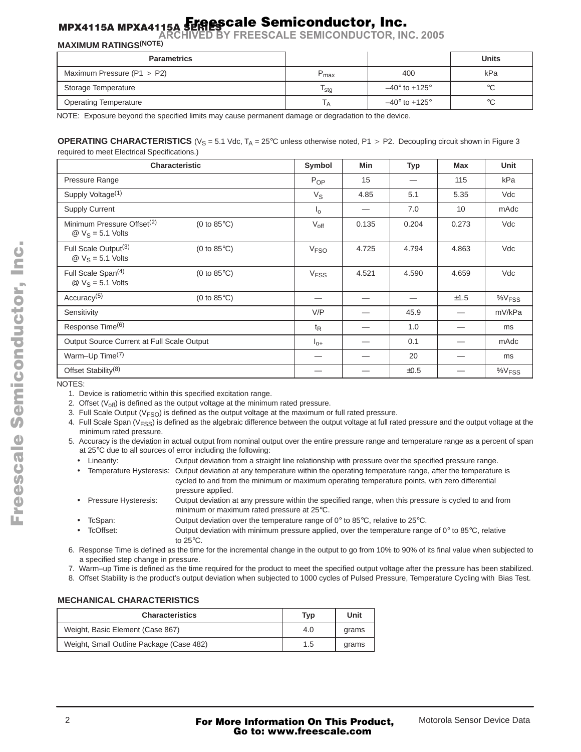#### Freescale Semiconductor, Inc.

**ARCHIVED BY FREESCALE SEMICONDUCTOR, INC. 2005**

### **MAXIMUM RATINGS(NOTE)**

| <b>Parametrics</b>             |                  |                             | <b>Units</b> |
|--------------------------------|------------------|-----------------------------|--------------|
| Maximum Pressure ( $P1 > P2$ ) | max              | 400                         | kPa          |
| Storage Temperature            | <sup>I</sup> stg | $-40^\circ$ to $+125^\circ$ | ∘∩           |
| <b>Operating Temperature</b>   | IΑ               | $-40^\circ$ to $+125^\circ$ | °C           |

NOTE: Exposure beyond the specified limits may cause permanent damage or degradation to the device.

#### **OPERATING CHARACTERISTICS** ( $V_S = 5.1$  Vdc,  $T_A = 25^\circ$ C unless otherwise noted, P1 > P2. Decoupling circuit shown in Figure 3 required to meet Electrical Specifications.)

|                                                                                | <b>Characteristic</b> | Symbol                 | <b>Min</b> | <b>Typ</b> | <b>Max</b> | <b>Unit</b>          |
|--------------------------------------------------------------------------------|-----------------------|------------------------|------------|------------|------------|----------------------|
| Pressure Range                                                                 |                       | P <sub>OP</sub>        | 15         |            | 115        | kPa                  |
| Supply Voltage <sup>(1)</sup>                                                  |                       | $V_{\rm S}$            | 4.85       | 5.1        | 5.35       | Vdc                  |
| <b>Supply Current</b>                                                          |                       | $I_{\Omega}$           |            | 7.0        | 10         | mAdc                 |
| Minimum Pressure Offset <sup>(2)</sup><br>$\omega$ V <sub>S</sub> = 5.1 Volts  | (0 to $85^{\circ}$ C) | $V_{\text{off}}$       | 0.135      | 0.204      | 0.273      | Vdc                  |
| Full Scale Output <sup>(3)</sup><br>$\omega$ V <sub>S</sub> = 5.1 Volts        | (0 to $85^{\circ}$ C) | <b>V<sub>FSO</sub></b> | 4.725      | 4.794      | 4.863      | Vdc                  |
| Full Scale Span <sup>(4)</sup><br>$\textcircled{2}$ V <sub>S</sub> = 5.1 Volts | (0 to $85^{\circ}$ C) | <b>V<sub>FSS</sub></b> | 4.521      | 4.590      | 4.659      | Vdc                  |
| Accuracy <sup>(5)</sup>                                                        | (0 to $85^{\circ}$ C) |                        |            |            | ±1.5       | $\%V$ <sub>FSS</sub> |
| Sensitivity                                                                    |                       | V/P                    |            | 45.9       |            | mV/kPa               |
| Response Time <sup>(6)</sup>                                                   |                       | $t_{\mathsf{R}}$       |            | 1.0        |            | ms                   |
| Output Source Current at Full Scale Output                                     |                       | $I_{0+}$               |            | 0.1        |            | mAdc                 |
| Warm-Up Time <sup>(7)</sup>                                                    |                       |                        |            | 20         |            | ms                   |
| Offset Stability <sup>(8)</sup>                                                |                       |                        |            | ±0.5       |            | %V <sub>FSS</sub>    |

NOTES:

1. Device is ratiometric within this specified excitation range.

2. Offset  $(V_{off})$  is defined as the output voltage at the minimum rated pressure.

- 3. Full Scale Output ( $V<sub>FSO</sub>$ ) is defined as the output voltage at the maximum or full rated pressure.
- 4. Full Scale Span ( $V<sub>FSS</sub>$ ) is defined as the algebraic difference between the output voltage at full rated pressure and the output voltage at the minimum rated pressure.
- 5. Accuracy is the deviation in actual output from nominal output over the entire pressure range and temperature range as a percent of span at 25°C due to all sources of error including the following:
	- Linearity: Output deviation from a straight line relationship with pressure over the specified pressure range.
	- Temperature Hysteresis: Output deviation at any temperature within the operating temperature range, after the temperature is cycled to and from the minimum or maximum operating temperature points, with zero differential pressure applied.
	- Pressure Hysteresis: Output deviation at any pressure within the specified range, when this pressure is cycled to and from minimum or maximum rated pressure at 25°C.
		- TcSpan: Output deviation over the temperature range of 0° to 85°C, relative to 25°C.
- TcOffset: Output deviation with minimum pressure applied, over the temperature range of  $0^\circ$  to 85 $^\circ$ C, relative to 25°C.
- 6. Response Time is defined as the time for the incremental change in the output to go from 10% to 90% of its final value when subjected to a specified step change in pressure.
- 7. Warm–up Time is defined as the time required for the product to meet the specified output voltage after the pressure has been stabilized.
- 8. Offset Stability is the product's output deviation when subjected to 1000 cycles of Pulsed Pressure, Temperature Cycling with Bias Test.

#### **MECHANICAL CHARACTERISTICS**

| <b>Characteristics</b>                   | Typ           | Unit  |
|------------------------------------------|---------------|-------|
| Weight, Basic Element (Case 867)         | 4.0           | grams |
| Weight, Small Outline Package (Case 482) | $1.5^{\circ}$ | grams |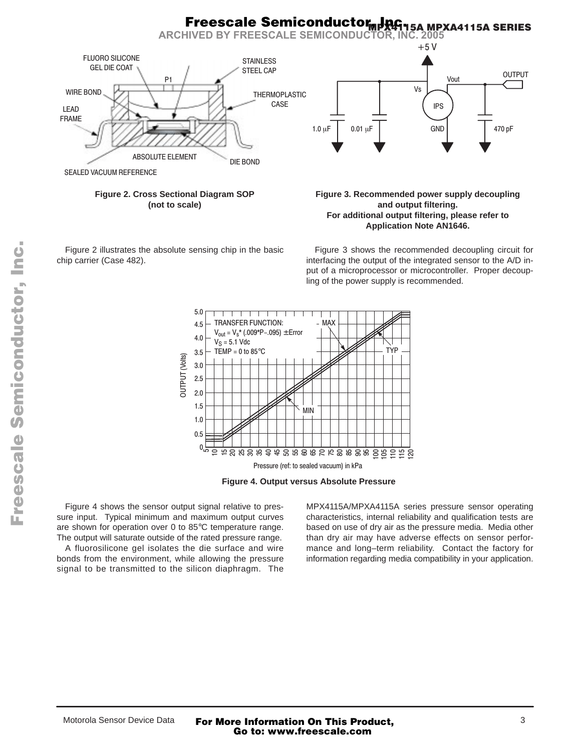#### <u>MPX4115A MP</u>XA4115A SERIES **Freescale Semiconductor, JRG.**

**ARCHIVED BY FREESCALE SEMICONDUCTOR, INC. 2005**



SEALED VACUUM REFERENCE

**Figure 2. Cross Sectional Diagram SOP (not to scale)**

Figure 2 illustrates the absolute sensing chip in the basic chip carrier (Case 482).

#### **Figure 3. Recommended power supply decoupling and output filtering. For additional output filtering, please refer to Application Note AN1646.**

Figure 3 shows the recommended decoupling circuit for interfacing the output of the integrated sensor to the A/D input of a microprocessor or microcontroller. Proper decoupling of the power supply is recommended.



**Figure 4. Output versus Absolute Pressure**

Figure 4 shows the sensor output signal relative to pressure input. Typical minimum and maximum output curves are shown for operation over 0 to 85°C temperature range. The output will saturate outside of the rated pressure range.

A fluorosilicone gel isolates the die surface and wire bonds from the environment, while allowing the pressure signal to be transmitted to the silicon diaphragm. The MPX4115A/MPXA4115A series pressure sensor operating characteristics, internal reliability and qualification tests are based on use of dry air as the pressure media. Media other than dry air may have adverse effects on sensor performance and long–term reliability. Contact the factory for information regarding media compatibility in your application.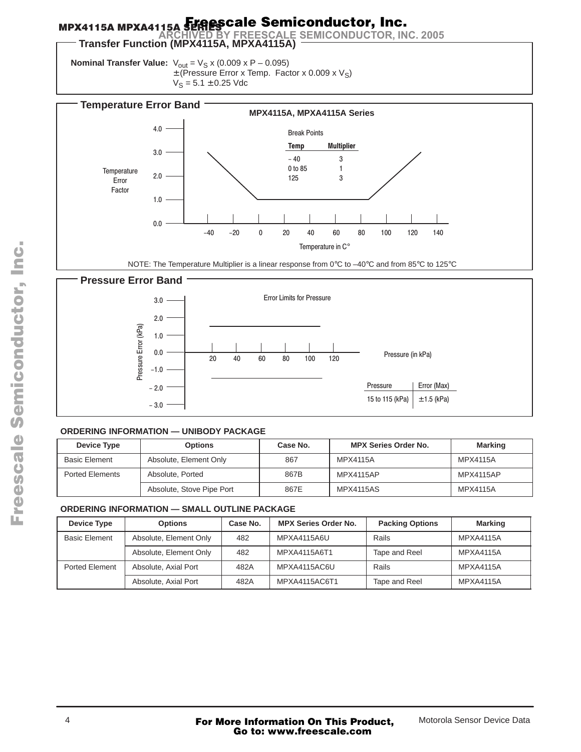#### Freescale Semiconductor, Inc.

**Transfer Function (MPX4115A, MPXA4115A) ARCHIVED BY FREESCALE SEMICONDUCTOR, INC. 2005**

**Nominal Transfer Value:**  $V_{\text{out}} = V_S x (0.009 x P - 0.095)$  $\pm$  (Pressure Error x Temp. Factor x 0.009 x V<sub>S</sub>)  $V_S = 5.1 \pm 0.25$  Vdc



NOTE: The Temperature Multiplier is a linear response from 0°C to –40°C and from 85°C to 125°C



#### **ORDERING INFORMATION — UNIBODY PACKAGE**

| Device Type            | <b>Options</b>            | Case No. | <b>MPX Series Order No.</b> | <b>Marking</b>   |
|------------------------|---------------------------|----------|-----------------------------|------------------|
| <b>Basic Element</b>   | Absolute, Element Only    | 867      | MPX4115A                    | MPX4115A         |
| <b>Ported Elements</b> | Absolute, Ported          | 867B     | <b>MPX4115AP</b>            | <b>MPX4115AP</b> |
|                        | Absolute, Stove Pipe Port | 867E     | <b>MPX4115AS</b>            | <b>MPX4115A</b>  |

#### **ORDERING INFORMATION — SMALL OUTLINE PACKAGE**

| Device Type           | <b>Options</b>         | Case No. | <b>MPX Series Order No.</b> | <b>Packing Options</b> | <b>Marking</b>   |
|-----------------------|------------------------|----------|-----------------------------|------------------------|------------------|
| <b>Basic Element</b>  | Absolute, Element Only | 482      | MPXA4115A6U                 | Rails                  | <b>MPXA4115A</b> |
|                       | Absolute, Element Only | 482      | MPXA4115A6T1                | Tape and Reel          | <b>MPXA4115A</b> |
| <b>Ported Element</b> | Absolute, Axial Port   | 482A     | MPXA4115AC6U                | Rails                  | <b>MPXA4115A</b> |
|                       | Absolute, Axial Port   | 482A     | MPXA4115AC6T1               | Tape and Reel          | MPXA4115A        |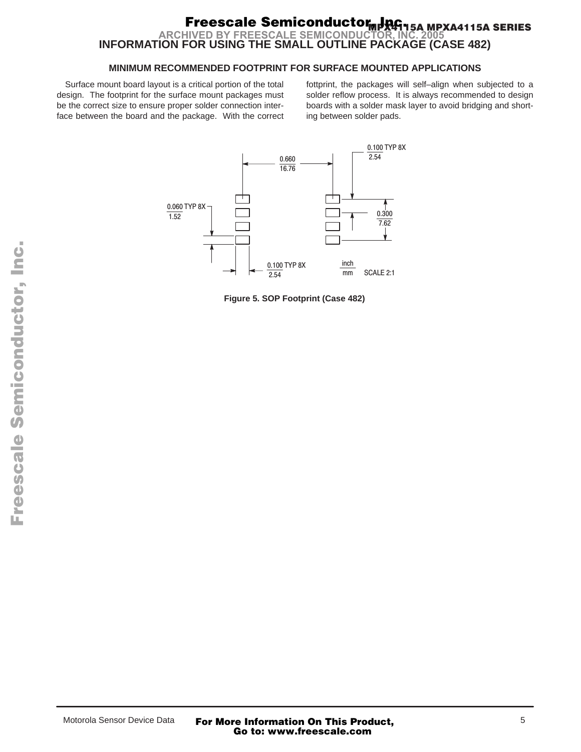#### <u>MPX4115A MP</u>XA4115A SERIES **INFORMATION FOR USING THE SMALL OUTLINE PACKAGE (CASE 482) Freescale Semiconductor, JRG. ARCHIVED BY FREESCALE SEMICONDUC**

#### **MINIMUM RECOMMENDED FOOTPRINT FOR SURFACE MOUNTED APPLICATIONS**

Surface mount board layout is a critical portion of the total design. The footprint for the surface mount packages must be the correct size to ensure proper solder connection interface between the board and the package. With the correct fottprint, the packages will self–align when subjected to a solder reflow process. It is always recommended to design boards with a solder mask layer to avoid bridging and shorting between solder pads.



**Figure 5. SOP Footprint (Case 482)**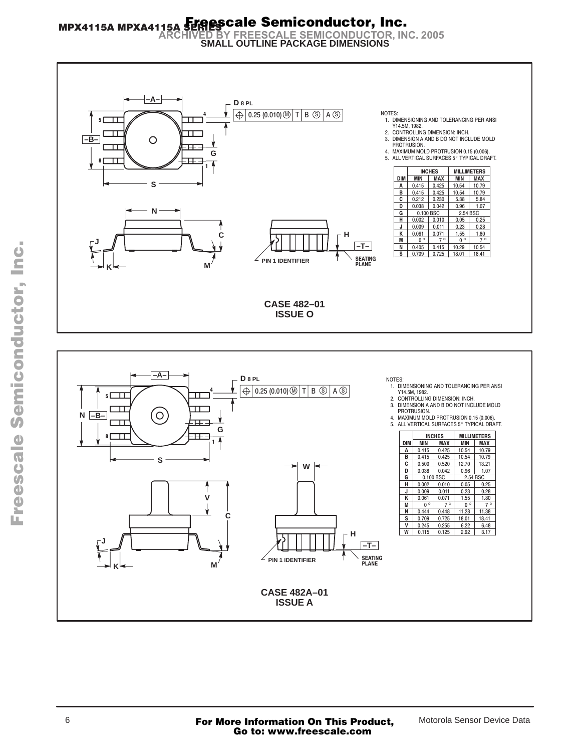# MPX4115A MPXA4115A SHARSCale Semiconductor, Inc.<br>ARCHIVED BY FREESCALE SEMICONDUCTOR, INC. 2005<br>SMALL OUTLINE PACKAGE DIMENSIONS



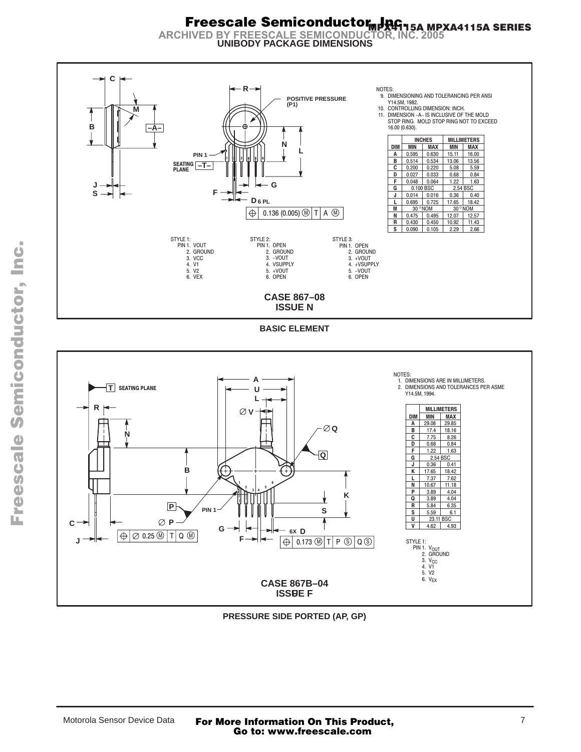# **Freescale Semiconductor 1946-154 MPXA4115A SERIES**<br>ARCHIVED BY FREESCALE SEMICONDUCTOR, INC. 2005



**UNIBODY PACKAGE DIMENSIONS** 

**BASIC ELEMENT** 



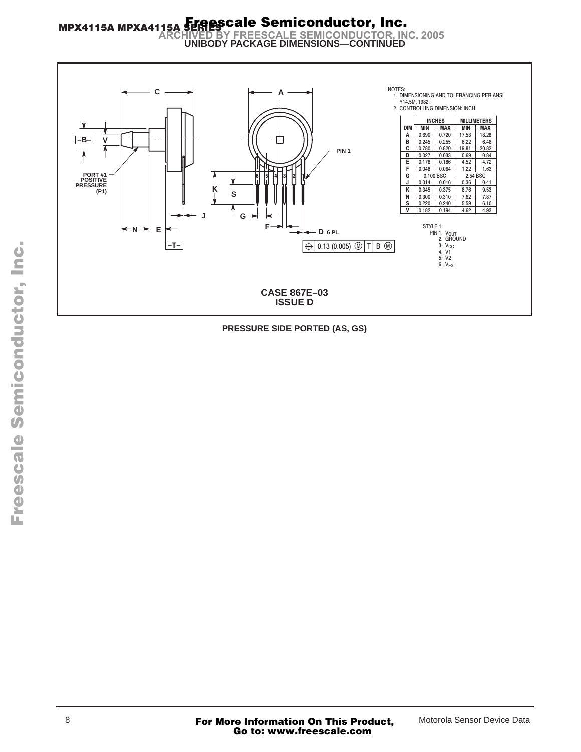## MPX4115A MPXA4115A SPRESCale Semiconductor, Inc. **SENIES OF FREESCALE SEMICONDUCTOR, INC. 2005<br>UNIBODY PACKAGE DIMENSIONS—CONTINUED**



PRESSURE SIDE PORTED (AS, GS)